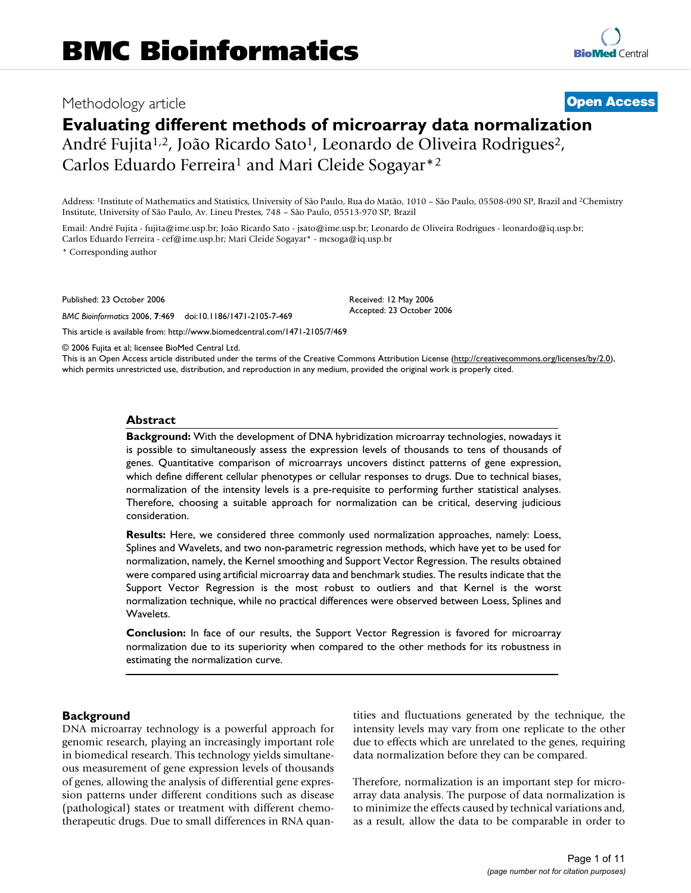# Methodology article **[Open Access](http://www.biomedcentral.com/info/about/charter/)**

# **Evaluating different methods of microarray data normalization** André Fujita<sup>1,2</sup>, João Ricardo Sato<sup>1</sup>, Leonardo de Oliveira Rodrigues<sup>2</sup>,

Carlos Eduardo Ferreira<sup>1</sup> and Mari Cleide Sogayar<sup>\*2</sup>

Address: 1Institute of Mathematics and Statistics, University of São Paulo, Rua do Matão, 1010 – São Paulo, 05508-090 SP, Brazil and 2Chemistry Institute, University of São Paulo, Av. Lineu Prestes, 748 – São Paulo, 05513-970 SP, Brazil

Email: André Fujita - fujita@ime.usp.br; João Ricardo Sato - jsato@ime.usp.br; Leonardo de Oliveira Rodrigues - leonardo@iq.usp.br; Carlos Eduardo Ferreira - cef@ime.usp.br; Mari Cleide Sogayar\* - mcsoga@iq.usp.br

\* Corresponding author

Published: 23 October 2006

*BMC Bioinformatics* 2006, **7**:469 doi:10.1186/1471-2105-7-469

[This article is available from: http://www.biomedcentral.com/1471-2105/7/469](http://www.biomedcentral.com/1471-2105/7/469)

© 2006 Fujita et al; licensee BioMed Central Ltd.

This is an Open Access article distributed under the terms of the Creative Commons Attribution License [\(http://creativecommons.org/licenses/by/2.0\)](http://creativecommons.org/licenses/by/2.0), which permits unrestricted use, distribution, and reproduction in any medium, provided the original work is properly cited.

Received: 12 May 2006 Accepted: 23 October 2006

#### **Abstract**

**Background:** With the development of DNA hybridization microarray technologies, nowadays it is possible to simultaneously assess the expression levels of thousands to tens of thousands of genes. Quantitative comparison of microarrays uncovers distinct patterns of gene expression, which define different cellular phenotypes or cellular responses to drugs. Due to technical biases, normalization of the intensity levels is a pre-requisite to performing further statistical analyses. Therefore, choosing a suitable approach for normalization can be critical, deserving judicious consideration.

**Results:** Here, we considered three commonly used normalization approaches, namely: Loess, Splines and Wavelets, and two non-parametric regression methods, which have yet to be used for normalization, namely, the Kernel smoothing and Support Vector Regression. The results obtained were compared using artificial microarray data and benchmark studies. The results indicate that the Support Vector Regression is the most robust to outliers and that Kernel is the worst normalization technique, while no practical differences were observed between Loess, Splines and Wavelets.

**Conclusion:** In face of our results, the Support Vector Regression is favored for microarray normalization due to its superiority when compared to the other methods for its robustness in estimating the normalization curve.

#### **Background**

DNA microarray technology is a powerful approach for genomic research, playing an increasingly important role in biomedical research. This technology yields simultaneous measurement of gene expression levels of thousands of genes, allowing the analysis of differential gene expression patterns under different conditions such as disease (pathological) states or treatment with different chemotherapeutic drugs. Due to small differences in RNA quantities and fluctuations generated by the technique, the intensity levels may vary from one replicate to the other due to effects which are unrelated to the genes, requiring data normalization before they can be compared.

Therefore, normalization is an important step for microarray data analysis. The purpose of data normalization is to minimize the effects caused by technical variations and, as a result, allow the data to be comparable in order to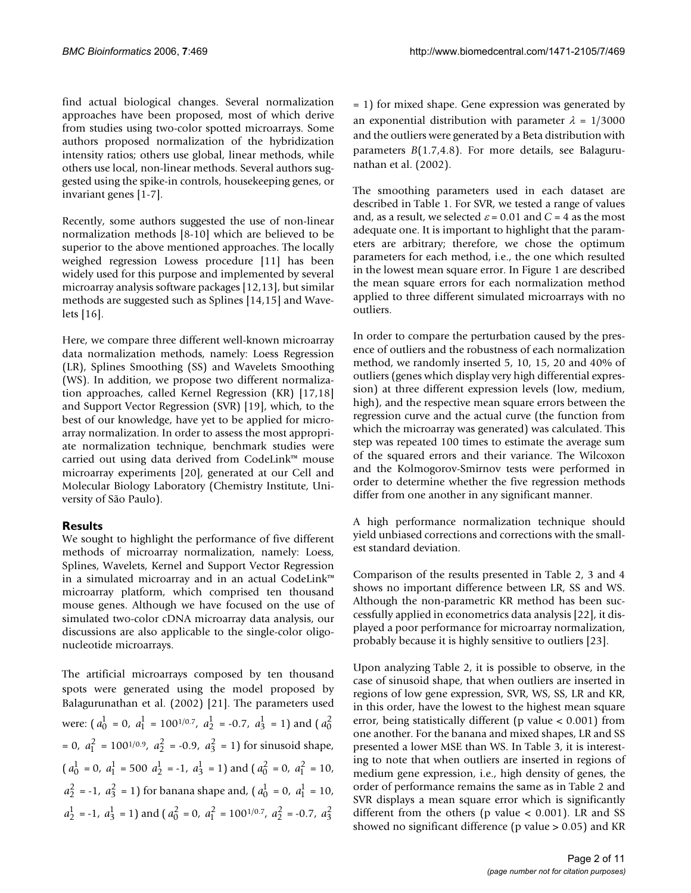find actual biological changes. Several normalization approaches have been proposed, most of which derive from studies using two-color spotted microarrays. Some authors proposed normalization of the hybridization intensity ratios; others use global, linear methods, while others use local, non-linear methods. Several authors suggested using the spike-in controls, housekeeping genes, or invariant genes [1-7].

Recently, some authors suggested the use of non-linear normalization methods [8-10] which are believed to be superior to the above mentioned approaches. The locally weighed regression Lowess procedure [11] has been widely used for this purpose and implemented by several microarray analysis software packages [12,13], but similar methods are suggested such as Splines [14,15] and Wavelets [16].

Here, we compare three different well-known microarray data normalization methods, namely: Loess Regression (LR), Splines Smoothing (SS) and Wavelets Smoothing (WS). In addition, we propose two different normalization approaches, called Kernel Regression (KR) [17,18] and Support Vector Regression (SVR) [19], which, to the best of our knowledge, have yet to be applied for microarray normalization. In order to assess the most appropriate normalization technique, benchmark studies were carried out using data derived from CodeLink™ mouse microarray experiments [20], generated at our Cell and Molecular Biology Laboratory (Chemistry Institute, University of São Paulo).

# **Results**

We sought to highlight the performance of five different methods of microarray normalization, namely: Loess, Splines, Wavelets, Kernel and Support Vector Regression in a simulated microarray and in an actual CodeLink™ microarray platform, which comprised ten thousand mouse genes. Although we have focused on the use of simulated two-color cDNA microarray data analysis, our discussions are also applicable to the single-color oligonucleotide microarrays.

The artificial microarrays composed by ten thousand spots were generated using the model proposed by Balagurunathan et al. (2002) [21]. The parameters used were:  $(a_0^1 = 0, a_1^1 = 100^{1/0.7}, a_2^1 = -0.7, a_3^1 = 1)$  and  $(a_0^2$  $= 0, a_1^2 = 100^{1/0.9}, a_2^2 = -0.9, a_3^2 = 1$  for sinusoid shape,  $(a_0^1 = 0, a_1^1 = 500 a_2^1 = -1, a_3^1 = 1)$  and  $(a_0^2 = 0, a_1^2 = 10,$  $a_2^2 = -1$ ,  $a_3^2 = 1$ ) for banana shape and, ( $a_0^1 = 0$ ,  $a_1^1 = 10$ ,  $a_2^1$  = -1,  $a_3^1$  = 1) and ( $a_0^2$  = 0,  $a_1^2$  = 100<sup>1/0.7</sup>,  $a_2^2$  = -0.7,  $a_3^2$ 

= 1) for mixed shape. Gene expression was generated by an exponential distribution with parameter  $\lambda = 1/3000$ and the outliers were generated by a Beta distribution with parameters *B*(1.7,4.8). For more details, see Balagurunathan et al. (2002).

The smoothing parameters used in each dataset are described in Table 1. For SVR, we tested a range of values and, as a result, we selected  $\varepsilon$  = 0.01 and *C* = 4 as the most adequate one. It is important to highlight that the parameters are arbitrary; therefore, we chose the optimum parameters for each method, i.e., the one which resulted in the lowest mean square error. In Figure 1 are described the mean square errors for each normalization method applied to three different simulated microarrays with no outliers.

In order to compare the perturbation caused by the presence of outliers and the robustness of each normalization method, we randomly inserted 5, 10, 15, 20 and 40% of outliers (genes which display very high differential expression) at three different expression levels (low, medium, high), and the respective mean square errors between the regression curve and the actual curve (the function from which the microarray was generated) was calculated. This step was repeated 100 times to estimate the average sum of the squared errors and their variance. The Wilcoxon and the Kolmogorov-Smirnov tests were performed in order to determine whether the five regression methods differ from one another in any significant manner.

A high performance normalization technique should yield unbiased corrections and corrections with the smallest standard deviation.

Comparison of the results presented in Table 2, 3 and 4 shows no important difference between LR, SS and WS. Although the non-parametric KR method has been successfully applied in econometrics data analysis [22], it displayed a poor performance for microarray normalization, probably because it is highly sensitive to outliers [23].

Upon analyzing Table 2, it is possible to observe, in the case of sinusoid shape, that when outliers are inserted in regions of low gene expression, SVR, WS, SS, LR and KR, in this order, have the lowest to the highest mean square error, being statistically different (p value < 0.001) from one another. For the banana and mixed shapes, LR and SS presented a lower MSE than WS. In Table 3, it is interesting to note that when outliers are inserted in regions of medium gene expression, i.e., high density of genes, the order of performance remains the same as in Table 2 and SVR displays a mean square error which is significantly different from the others (p value  $< 0.001$ ). LR and SS showed no significant difference (p value  $> 0.05$ ) and KR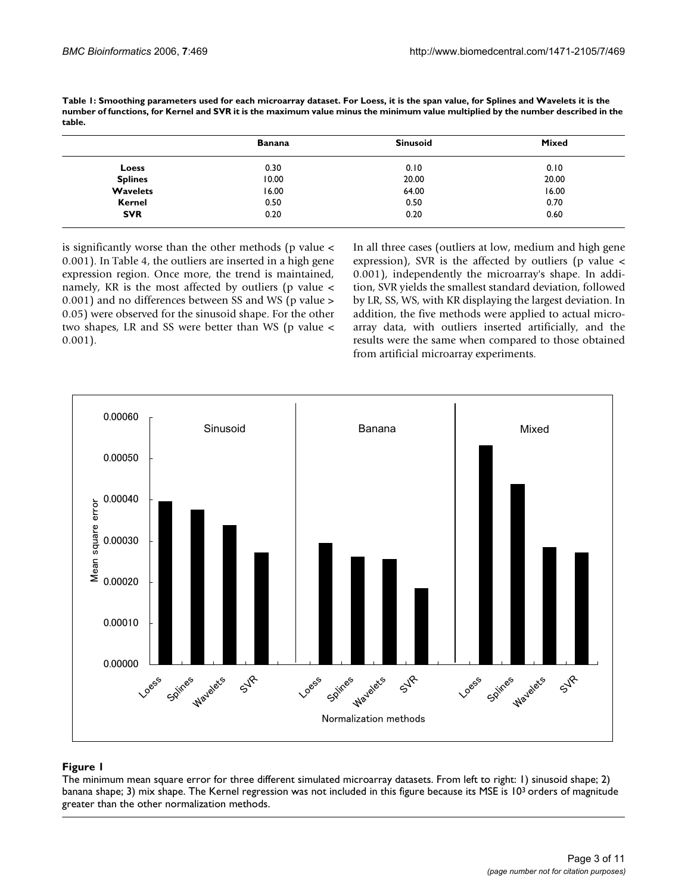| <b>Banana</b> | <b>Sinusoid</b> | Mixed |
|---------------|-----------------|-------|
| 0.30          | 0.10            | 0.10  |
| 10.00         | 20.00           | 20.00 |
| 16.00         | 64.00           | 16.00 |
| 0.50          | 0.50            | 0.70  |
| 0.20          | 0.20            | 0.60  |
|               |                 |       |

**Table 1: Smoothing parameters used for each microarray dataset. For Loess, it is the span value, for Splines and Wavelets it is the number of functions, for Kernel and SVR it is the maximum value minus the minimum value multiplied by the number described in the table.**

is significantly worse than the other methods (p value < 0.001). In Table 4, the outliers are inserted in a high gene expression region. Once more, the trend is maintained, namely, KR is the most affected by outliers (p value  $\lt$ 0.001) and no differences between SS and WS (p value > 0.05) were observed for the sinusoid shape. For the other two shapes, LR and SS were better than WS (p value < 0.001).

In all three cases (outliers at low, medium and high gene expression), SVR is the affected by outliers (p value  $\lt$ 0.001), independently the microarray's shape. In addition, SVR yields the smallest standard deviation, followed by LR, SS, WS, with KR displaying the largest deviation. In addition, the five methods were applied to actual microarray data, with outliers inserted artificially, and the results were the same when compared to those obtained from artificial microarray experiments.



# The minimum mean square error for three **Figure 1** different simulated microarray datasets

The minimum mean square error for three different simulated microarray datasets. From left to right: 1) sinusoid shape; 2) banana shape; 3) mix shape. The Kernel regression was not included in this figure because its MSE is 10<sup>3</sup> orders of magnitude greater than the other normalization methods.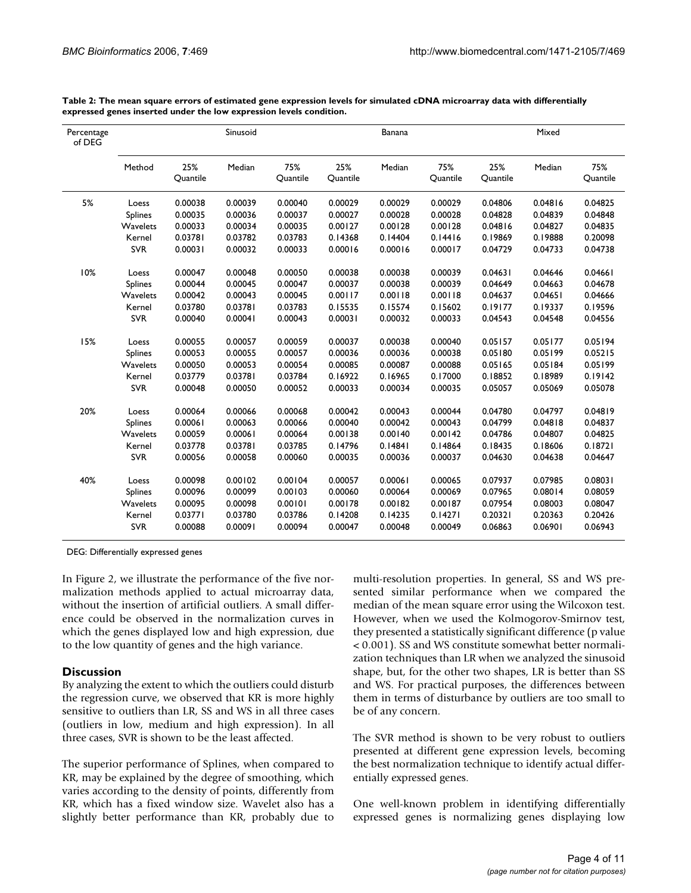| Percentage<br>of DEG |            |                 | Sinusoid |                 |                 | Banana  |                 |                 | Mixed   |                 |
|----------------------|------------|-----------------|----------|-----------------|-----------------|---------|-----------------|-----------------|---------|-----------------|
|                      | Method     | 25%<br>Quantile | Median   | 75%<br>Quantile | 25%<br>Quantile | Median  | 75%<br>Quantile | 25%<br>Quantile | Median  | 75%<br>Quantile |
| 5%                   | Loess      | 0.00038         | 0.00039  | 0.00040         | 0.00029         | 0.00029 | 0.00029         | 0.04806         | 0.04816 | 0.04825         |
|                      | Splines    | 0.00035         | 0.00036  | 0.00037         | 0.00027         | 0.00028 | 0.00028         | 0.04828         | 0.04839 | 0.04848         |
|                      | Wavelets   | 0.00033         | 0.00034  | 0.00035         | 0.00127         | 0.00128 | 0.00128         | 0.04816         | 0.04827 | 0.04835         |
|                      | Kernel     | 0.03781         | 0.03782  | 0.03783         | 0.14368         | 0.14404 | 0.14416         | 0.19869         | 0.19888 | 0.20098         |
|                      | <b>SVR</b> | 0.00031         | 0.00032  | 0.00033         | 0.00016         | 0.00016 | 0.00017         | 0.04729         | 0.04733 | 0.04738         |
| 10%                  | Loess      | 0.00047         | 0.00048  | 0.00050         | 0.00038         | 0.00038 | 0.00039         | 0.04631         | 0.04646 | 0.04661         |
|                      | Splines    | 0.00044         | 0.00045  | 0.00047         | 0.00037         | 0.00038 | 0.00039         | 0.04649         | 0.04663 | 0.04678         |
|                      | Wavelets   | 0.00042         | 0.00043  | 0.00045         | 0.00117         | 0.00118 | 0.00118         | 0.04637         | 0.04651 | 0.04666         |
|                      | Kernel     | 0.03780         | 0.03781  | 0.03783         | 0.15535         | 0.15574 | 0.15602         | 0.19177         | 0.19337 | 0.19596         |
|                      | <b>SVR</b> | 0.00040         | 0.00041  | 0.00043         | 0.00031         | 0.00032 | 0.00033         | 0.04543         | 0.04548 | 0.04556         |
| 15%                  | Loess      | 0.00055         | 0.00057  | 0.00059         | 0.00037         | 0.00038 | 0.00040         | 0.05157         | 0.05177 | 0.05194         |
|                      | Splines    | 0.00053         | 0.00055  | 0.00057         | 0.00036         | 0.00036 | 0.00038         | 0.05180         | 0.05199 | 0.05215         |
|                      | Wavelets   | 0.00050         | 0.00053  | 0.00054         | 0.00085         | 0.00087 | 0.00088         | 0.05165         | 0.05184 | 0.05199         |
|                      | Kernel     | 0.03779         | 0.03781  | 0.03784         | 0.16922         | 0.16965 | 0.17000         | 0.18852         | 0.18989 | 0.19142         |
|                      | <b>SVR</b> | 0.00048         | 0.00050  | 0.00052         | 0.00033         | 0.00034 | 0.00035         | 0.05057         | 0.05069 | 0.05078         |
| 20%                  | Loess      | 0.00064         | 0.00066  | 0.00068         | 0.00042         | 0.00043 | 0.00044         | 0.04780         | 0.04797 | 0.04819         |
|                      | Splines    | 0.00061         | 0.00063  | 0.00066         | 0.00040         | 0.00042 | 0.00043         | 0.04799         | 0.04818 | 0.04837         |
|                      | Wavelets   | 0.00059         | 0.00061  | 0.00064         | 0.00138         | 0.00140 | 0.00142         | 0.04786         | 0.04807 | 0.04825         |
|                      | Kernel     | 0.03778         | 0.03781  | 0.03785         | 0.14796         | 0.14841 | 0.14864         | 0.18435         | 0.18606 | 0.18721         |
|                      | <b>SVR</b> | 0.00056         | 0.00058  | 0.00060         | 0.00035         | 0.00036 | 0.00037         | 0.04630         | 0.04638 | 0.04647         |
| 40%                  | Loess      | 0.00098         | 0.00102  | 0.00104         | 0.00057         | 0.00061 | 0.00065         | 0.07937         | 0.07985 | 0.08031         |
|                      | Splines    | 0.00096         | 0.00099  | 0.00103         | 0.00060         | 0.00064 | 0.00069         | 0.07965         | 0.08014 | 0.08059         |
|                      | Wavelets   | 0.00095         | 0.00098  | 0.00101         | 0.00178         | 0.00182 | 0.00187         | 0.07954         | 0.08003 | 0.08047         |
|                      | Kernel     | 0.03771         | 0.03780  | 0.03786         | 0.14208         | 0.14235 | 0.14271         | 0.20321         | 0.20363 | 0.20426         |
|                      | <b>SVR</b> | 0.00088         | 0.00091  | 0.00094         | 0.00047         | 0.00048 | 0.00049         | 0.06863         | 0.06901 | 0.06943         |
|                      |            |                 |          |                 |                 |         |                 |                 |         |                 |

**Table 2: The mean square errors of estimated gene expression levels for simulated cDNA microarray data with differentially expressed genes inserted under the low expression levels condition.**

DEG: Differentially expressed genes

In Figure 2, we illustrate the performance of the five normalization methods applied to actual microarray data, without the insertion of artificial outliers. A small difference could be observed in the normalization curves in which the genes displayed low and high expression, due to the low quantity of genes and the high variance.

#### **Discussion**

By analyzing the extent to which the outliers could disturb the regression curve, we observed that KR is more highly sensitive to outliers than LR, SS and WS in all three cases (outliers in low, medium and high expression). In all three cases, SVR is shown to be the least affected.

The superior performance of Splines, when compared to KR, may be explained by the degree of smoothing, which varies according to the density of points, differently from KR, which has a fixed window size. Wavelet also has a slightly better performance than KR, probably due to

multi-resolution properties. In general, SS and WS presented similar performance when we compared the median of the mean square error using the Wilcoxon test. However, when we used the Kolmogorov-Smirnov test, they presented a statistically significant difference (p value < 0.001). SS and WS constitute somewhat better normalization techniques than LR when we analyzed the sinusoid shape, but, for the other two shapes, LR is better than SS and WS. For practical purposes, the differences between them in terms of disturbance by outliers are too small to be of any concern.

The SVR method is shown to be very robust to outliers presented at different gene expression levels, becoming the best normalization technique to identify actual differentially expressed genes.

One well-known problem in identifying differentially expressed genes is normalizing genes displaying low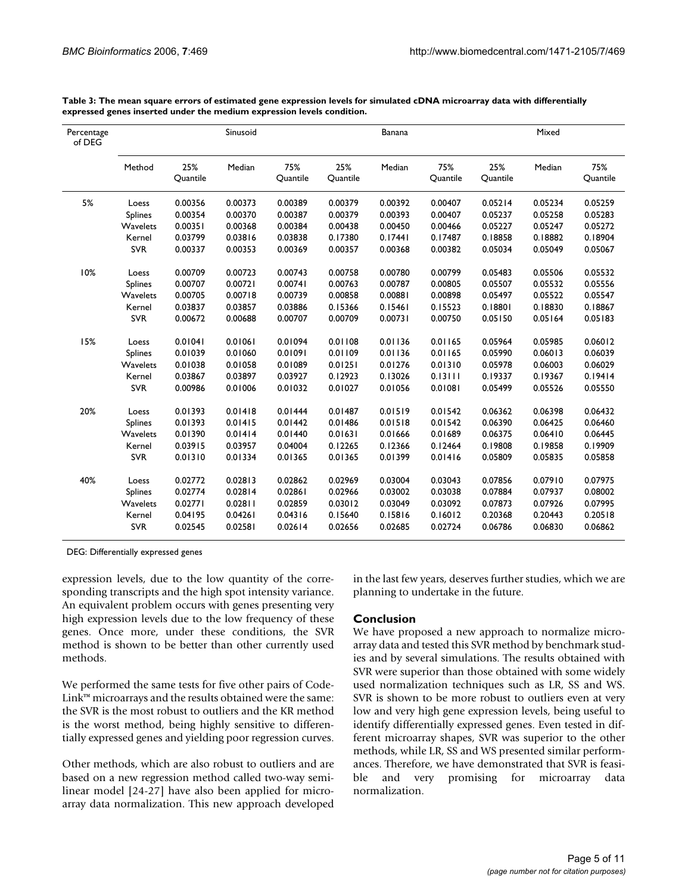| Percentage<br>of DEG |            |                 | Sinusoid |                 |                 | Banana  |                 |                 | Mixed   |                 |
|----------------------|------------|-----------------|----------|-----------------|-----------------|---------|-----------------|-----------------|---------|-----------------|
|                      | Method     | 25%<br>Quantile | Median   | 75%<br>Quantile | 25%<br>Quantile | Median  | 75%<br>Quantile | 25%<br>Quantile | Median  | 75%<br>Quantile |
| 5%                   | Loess      | 0.00356         | 0.00373  | 0.00389         | 0.00379         | 0.00392 | 0.00407         | 0.05214         | 0.05234 | 0.05259         |
|                      | Splines    | 0.00354         | 0.00370  | 0.00387         | 0.00379         | 0.00393 | 0.00407         | 0.05237         | 0.05258 | 0.05283         |
|                      | Wavelets   | 0.00351         | 0.00368  | 0.00384         | 0.00438         | 0.00450 | 0.00466         | 0.05227         | 0.05247 | 0.05272         |
|                      | Kernel     | 0.03799         | 0.03816  | 0.03838         | 0.17380         | 0.17441 | 0.17487         | 0.18858         | 0.18882 | 0.18904         |
|                      | <b>SVR</b> | 0.00337         | 0.00353  | 0.00369         | 0.00357         | 0.00368 | 0.00382         | 0.05034         | 0.05049 | 0.05067         |
| 10%                  | Loess      | 0.00709         | 0.00723  | 0.00743         | 0.00758         | 0.00780 | 0.00799         | 0.05483         | 0.05506 | 0.05532         |
|                      | Splines    | 0.00707         | 0.00721  | 0.00741         | 0.00763         | 0.00787 | 0.00805         | 0.05507         | 0.05532 | 0.05556         |
|                      | Wavelets   | 0.00705         | 0.00718  | 0.00739         | 0.00858         | 0.00881 | 0.00898         | 0.05497         | 0.05522 | 0.05547         |
|                      | Kernel     | 0.03837         | 0.03857  | 0.03886         | 0.15366         | 0.15461 | 0.15523         | 0.18801         | 0.18830 | 0.18867         |
|                      | <b>SVR</b> | 0.00672         | 0.00688  | 0.00707         | 0.00709         | 0.00731 | 0.00750         | 0.05150         | 0.05164 | 0.05183         |
| 15%                  | Loess      | 0.01041         | 0.01061  | 0.01094         | 0.01108         | 0.01136 | 0.01165         | 0.05964         | 0.05985 | 0.06012         |
|                      | Splines    | 0.01039         | 0.01060  | 0.01091         | 0.01109         | 0.01136 | 0.01165         | 0.05990         | 0.06013 | 0.06039         |
|                      | Wavelets   | 0.01038         | 0.01058  | 0.01089         | 0.01251         | 0.01276 | 0.01310         | 0.05978         | 0.06003 | 0.06029         |
|                      | Kernel     | 0.03867         | 0.03897  | 0.03927         | 0.12923         | 0.13026 | 0.13111         | 0.19337         | 0.19367 | 0.19414         |
|                      | <b>SVR</b> | 0.00986         | 0.01006  | 0.01032         | 0.01027         | 0.01056 | 0.01081         | 0.05499         | 0.05526 | 0.05550         |
| 20%                  | Loess      | 0.01393         | 0.01418  | 0.01444         | 0.01487         | 0.01519 | 0.01542         | 0.06362         | 0.06398 | 0.06432         |
|                      | Splines    | 0.01393         | 0.01415  | 0.01442         | 0.01486         | 0.01518 | 0.01542         | 0.06390         | 0.06425 | 0.06460         |
|                      | Wavelets   | 0.01390         | 0.01414  | 0.01440         | 0.01631         | 0.01666 | 0.01689         | 0.06375         | 0.06410 | 0.06445         |
|                      | Kernel     | 0.03915         | 0.03957  | 0.04004         | 0.12265         | 0.12366 | 0.12464         | 0.19808         | 0.19858 | 0.19909         |
|                      | <b>SVR</b> | 0.01310         | 0.01334  | 0.01365         | 0.01365         | 0.01399 | 0.01416         | 0.05809         | 0.05835 | 0.05858         |
| 40%                  | Loess      | 0.02772         | 0.02813  | 0.02862         | 0.02969         | 0.03004 | 0.03043         | 0.07856         | 0.07910 | 0.07975         |
|                      | Splines    | 0.02774         | 0.02814  | 0.02861         | 0.02966         | 0.03002 | 0.03038         | 0.07884         | 0.07937 | 0.08002         |
|                      | Wavelets   | 0.02771         | 0.02811  | 0.02859         | 0.03012         | 0.03049 | 0.03092         | 0.07873         | 0.07926 | 0.07995         |
|                      | Kernel     | 0.04195         | 0.04261  | 0.04316         | 0.15640         | 0.15816 | 0.16012         | 0.20368         | 0.20443 | 0.20518         |
|                      | <b>SVR</b> | 0.02545         | 0.02581  | 0.02614         | 0.02656         | 0.02685 | 0.02724         | 0.06786         | 0.06830 | 0.06862         |
|                      |            |                 |          |                 |                 |         |                 |                 |         |                 |

**Table 3: The mean square errors of estimated gene expression levels for simulated cDNA microarray data with differentially expressed genes inserted under the medium expression levels condition.**

DEG: Differentially expressed genes

expression levels, due to the low quantity of the corresponding transcripts and the high spot intensity variance. An equivalent problem occurs with genes presenting very high expression levels due to the low frequency of these genes. Once more, under these conditions, the SVR method is shown to be better than other currently used methods.

We performed the same tests for five other pairs of Code-Link™ microarrays and the results obtained were the same: the SVR is the most robust to outliers and the KR method is the worst method, being highly sensitive to differentially expressed genes and yielding poor regression curves.

Other methods, which are also robust to outliers and are based on a new regression method called two-way semilinear model [24-27] have also been applied for microarray data normalization. This new approach developed in the last few years, deserves further studies, which we are planning to undertake in the future.

#### **Conclusion**

We have proposed a new approach to normalize microarray data and tested this SVR method by benchmark studies and by several simulations. The results obtained with SVR were superior than those obtained with some widely used normalization techniques such as LR, SS and WS. SVR is shown to be more robust to outliers even at very low and very high gene expression levels, being useful to identify differentially expressed genes. Even tested in different microarray shapes, SVR was superior to the other methods, while LR, SS and WS presented similar performances. Therefore, we have demonstrated that SVR is feasible and very promising for microarray data normalization.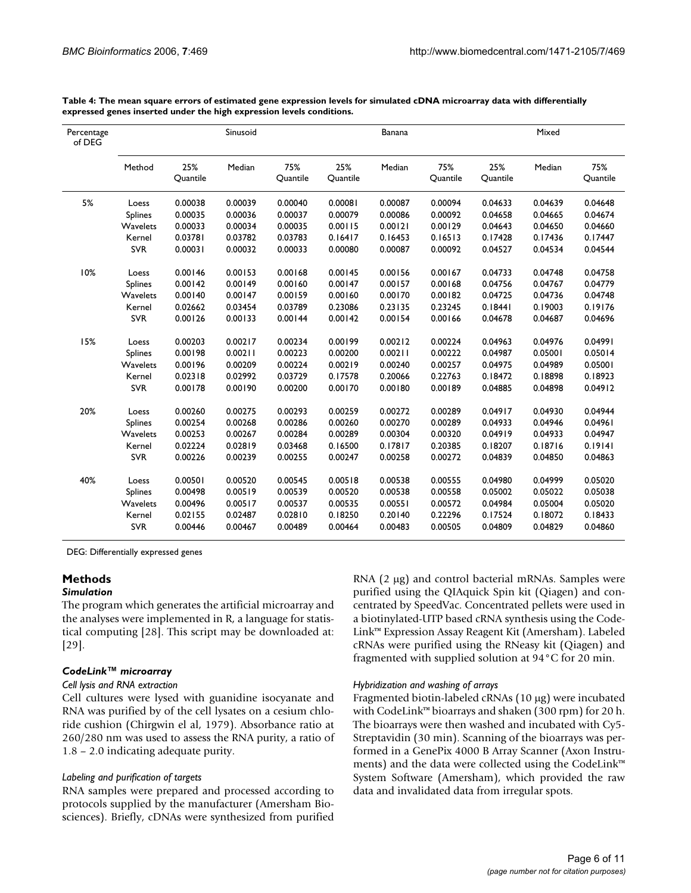| Percentage<br>of DEG |            |                 | Sinusoid |                 |                 | Banana  |                 |                 | Mixed   |                 |
|----------------------|------------|-----------------|----------|-----------------|-----------------|---------|-----------------|-----------------|---------|-----------------|
|                      | Method     | 25%<br>Quantile | Median   | 75%<br>Quantile | 25%<br>Quantile | Median  | 75%<br>Quantile | 25%<br>Quantile | Median  | 75%<br>Quantile |
| 5%                   | Loess      | 0.00038         | 0.00039  | 0.00040         | 0.00081         | 0.00087 | 0.00094         | 0.04633         | 0.04639 | 0.04648         |
|                      | Splines    | 0.00035         | 0.00036  | 0.00037         | 0.00079         | 0.00086 | 0.00092         | 0.04658         | 0.04665 | 0.04674         |
|                      | Wavelets   | 0.00033         | 0.00034  | 0.00035         | 0.00115         | 0.00121 | 0.00129         | 0.04643         | 0.04650 | 0.04660         |
|                      | Kernel     | 0.03781         | 0.03782  | 0.03783         | 0.16417         | 0.16453 | 0.16513         | 0.17428         | 0.17436 | 0.17447         |
|                      | <b>SVR</b> | 0.00031         | 0.00032  | 0.00033         | 0.00080         | 0.00087 | 0.00092         | 0.04527         | 0.04534 | 0.04544         |
| 10%                  | Loess      | 0.00146         | 0.00153  | 0.00168         | 0.00145         | 0.00156 | 0.00167         | 0.04733         | 0.04748 | 0.04758         |
|                      | Splines    | 0.00142         | 0.00149  | 0.00160         | 0.00147         | 0.00157 | 0.00168         | 0.04756         | 0.04767 | 0.04779         |
|                      | Wavelets   | 0.00140         | 0.00147  | 0.00159         | 0.00160         | 0.00170 | 0.00182         | 0.04725         | 0.04736 | 0.04748         |
|                      | Kernel     | 0.02662         | 0.03454  | 0.03789         | 0.23086         | 0.23135 | 0.23245         | 0.18441         | 0.19003 | 0.19176         |
|                      | <b>SVR</b> | 0.00126         | 0.00133  | 0.00144         | 0.00142         | 0.00154 | 0.00166         | 0.04678         | 0.04687 | 0.04696         |
| 15%                  | Loess      | 0.00203         | 0.00217  | 0.00234         | 0.00199         | 0.00212 | 0.00224         | 0.04963         | 0.04976 | 0.04991         |
|                      | Splines    | 0.00198         | 0.00211  | 0.00223         | 0.00200         | 0.00211 | 0.00222         | 0.04987         | 0.05001 | 0.05014         |
|                      | Wavelets   | 0.00196         | 0.00209  | 0.00224         | 0.00219         | 0.00240 | 0.00257         | 0.04975         | 0.04989 | 0.05001         |
|                      | Kernel     | 0.02318         | 0.02992  | 0.03729         | 0.17578         | 0.20066 | 0.22763         | 0.18472         | 0.18898 | 0.18923         |
|                      | <b>SVR</b> | 0.00178         | 0.00190  | 0.00200         | 0.00170         | 0.00180 | 0.00189         | 0.04885         | 0.04898 | 0.04912         |
| 20%                  | Loess      | 0.00260         | 0.00275  | 0.00293         | 0.00259         | 0.00272 | 0.00289         | 0.04917         | 0.04930 | 0.04944         |
|                      | Splines    | 0.00254         | 0.00268  | 0.00286         | 0.00260         | 0.00270 | 0.00289         | 0.04933         | 0.04946 | 0.04961         |
|                      | Wavelets   | 0.00253         | 0.00267  | 0.00284         | 0.00289         | 0.00304 | 0.00320         | 0.04919         | 0.04933 | 0.04947         |
|                      | Kernel     | 0.02224         | 0.02819  | 0.03468         | 0.16500         | 0.17817 | 0.20385         | 0.18207         | 0.18716 | 0.19141         |
|                      | <b>SVR</b> | 0.00226         | 0.00239  | 0.00255         | 0.00247         | 0.00258 | 0.00272         | 0.04839         | 0.04850 | 0.04863         |
| 40%                  | Loess      | 0.00501         | 0.00520  | 0.00545         | 0.00518         | 0.00538 | 0.00555         | 0.04980         | 0.04999 | 0.05020         |
|                      | Splines    | 0.00498         | 0.00519  | 0.00539         | 0.00520         | 0.00538 | 0.00558         | 0.05002         | 0.05022 | 0.05038         |
|                      | Wavelets   | 0.00496         | 0.00517  | 0.00537         | 0.00535         | 0.00551 | 0.00572         | 0.04984         | 0.05004 | 0.05020         |
|                      | Kernel     | 0.02155         | 0.02487  | 0.02810         | 0.18250         | 0.20140 | 0.22296         | 0.17524         | 0.18072 | 0.18433         |
|                      | <b>SVR</b> | 0.00446         | 0.00467  | 0.00489         | 0.00464         | 0.00483 | 0.00505         | 0.04809         | 0.04829 | 0.04860         |
|                      |            |                 |          |                 |                 |         |                 |                 |         |                 |

**Table 4: The mean square errors of estimated gene expression levels for simulated cDNA microarray data with differentially expressed genes inserted under the high expression levels conditions.**

DEG: Differentially expressed genes

# **Methods**

#### *Simulation*

The program which generates the artificial microarray and the analyses were implemented in R, a language for statistical computing [28]. This script may be downloaded at: [29].

#### *CodeLink™ microarray*

#### *Cell lysis and RNA extraction*

Cell cultures were lysed with guanidine isocyanate and RNA was purified by of the cell lysates on a cesium chloride cushion (Chirgwin el al, 1979). Absorbance ratio at 260/280 nm was used to assess the RNA purity, a ratio of 1.8 – 2.0 indicating adequate purity.

#### *Labeling and purification of targets*

RNA samples were prepared and processed according to protocols supplied by the manufacturer (Amersham Biosciences). Briefly, cDNAs were synthesized from purified RNA (2 μg) and control bacterial mRNAs. Samples were purified using the QIAquick Spin kit (Qiagen) and concentrated by SpeedVac. Concentrated pellets were used in a biotinylated-UTP based cRNA synthesis using the Code-Link™ Expression Assay Reagent Kit (Amersham). Labeled cRNAs were purified using the RNeasy kit (Qiagen) and fragmented with supplied solution at 94°C for 20 min.

#### *Hybridization and washing of arrays*

Fragmented biotin-labeled cRNAs (10 μg) were incubated with CodeLink™ bioarrays and shaken (300 rpm) for 20 h. The bioarrays were then washed and incubated with Cy5- Streptavidin (30 min). Scanning of the bioarrays was performed in a GenePix 4000 B Array Scanner (Axon Instruments) and the data were collected using the CodeLink™ System Software (Amersham), which provided the raw data and invalidated data from irregular spots.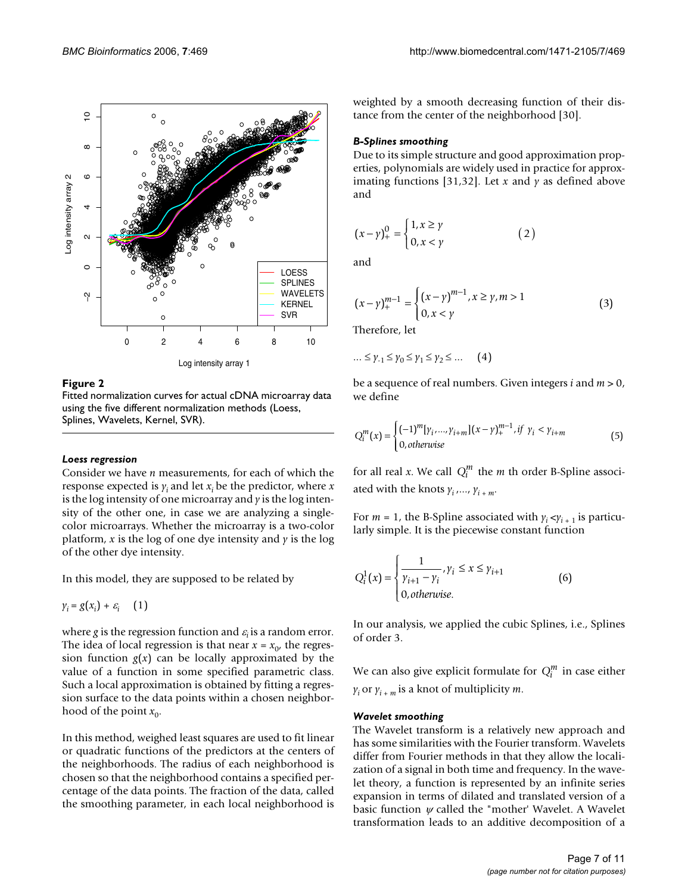

### Figure 2

Fitted normalization curves for actual cDNA microarray data using the five different normalization methods (Loess, Splines, Wavelets, Kernel, SVR).

#### Loess regression

Consider we have  $n$  measurements, for each of which the response expected is  $y_i$  and let  $x_i$  be the predictor, where x is the log intensity of one microarray and  $y$  is the log intensity of the other one, in case we are analyzing a singlecolor microarrays. Whether the microarray is a two-color platform, x is the log of one dye intensity and y is the log of the other dye intensity.

In this model, they are supposed to be related by

 $y_i = g(x_i) + \varepsilon_i \quad (1)$ 

where g is the regression function and  $\varepsilon_i$  is a random error. The idea of local regression is that near  $x = x_0$ , the regression function  $g(x)$  can be locally approximated by the value of a function in some specified parametric class. Such a local approximation is obtained by fitting a regression surface to the data points within a chosen neighborhood of the point  $x_0$ .

In this method, weighed least squares are used to fit linear or quadratic functions of the predictors at the centers of the neighborhoods. The radius of each neighborhood is chosen so that the neighborhood contains a specified percentage of the data points. The fraction of the data, called the smoothing parameter, in each local neighborhood is

weighted by a smooth decreasing function of their distance from the center of the neighborhood [30].

### **B-Splines smoothing**

Due to its simple structure and good approximation properties, polynomials are widely used in practice for approximating functions [31,32]. Let  $x$  and  $y$  as defined above and

$$
(x - y)^{0}_{+} = \begin{cases} 1, & x \ge y \\ 0, & x < y \end{cases} \tag{2}
$$

and

$$
(x - \gamma)_+^{m-1} = \begin{cases} (x - \gamma)^{m-1}, & x \ge \gamma, m > 1 \\ 0, & x < \gamma \end{cases} \tag{3}
$$

Therefore, let

...  $\leq \gamma_{-1} \leq \gamma_0 \leq \gamma_1 \leq \gamma_2 \leq ...$  (4)

be a sequence of real numbers. Given integers *i* and  $m > 0$ , we define

$$
Q_i^m(x) = \begin{cases} (-1)^m [\gamma_i, ..., \gamma_{i+m}] (x - \gamma)_{+}^{m-1}, & \text{if } \gamma_i < \gamma_{i+m} \\ 0, & \text{otherwise} \end{cases} \tag{5}
$$

for all real x. We call  $Q_i^m$  the m th order B-Spline associated with the knots  $\gamma_i$ ,...,  $\gamma_{i+m}$ .

For  $m = 1$ , the B-Spline associated with  $\gamma_i < \gamma_{i+1}$  is particularly simple. It is the piecewise constant function

$$
Q_i^1(x) = \begin{cases} \frac{1}{\gamma_{i+1} - \gamma_i}, \gamma_i \leq x \leq \gamma_{i+1} \\ 0, \text{otherwise.} \end{cases}
$$
 (6)

In our analysis, we applied the cubic Splines, *i.e.*, Splines of order 3.

We can also give explicit formulate for  $Q_i^m$  in case either  $y_i$  or  $y_{i+m}$  is a knot of multiplicity *m*.

#### **Wavelet smoothing**

The Wavelet transform is a relatively new approach and has some similarities with the Fourier transform. Wavelets differ from Fourier methods in that they allow the localization of a signal in both time and frequency. In the wavelet theory, a function is represented by an infinite series expansion in terms of dilated and translated version of a basic function  $\psi$  called the "mother' Wavelet. A Wavelet transformation leads to an additive decomposition of a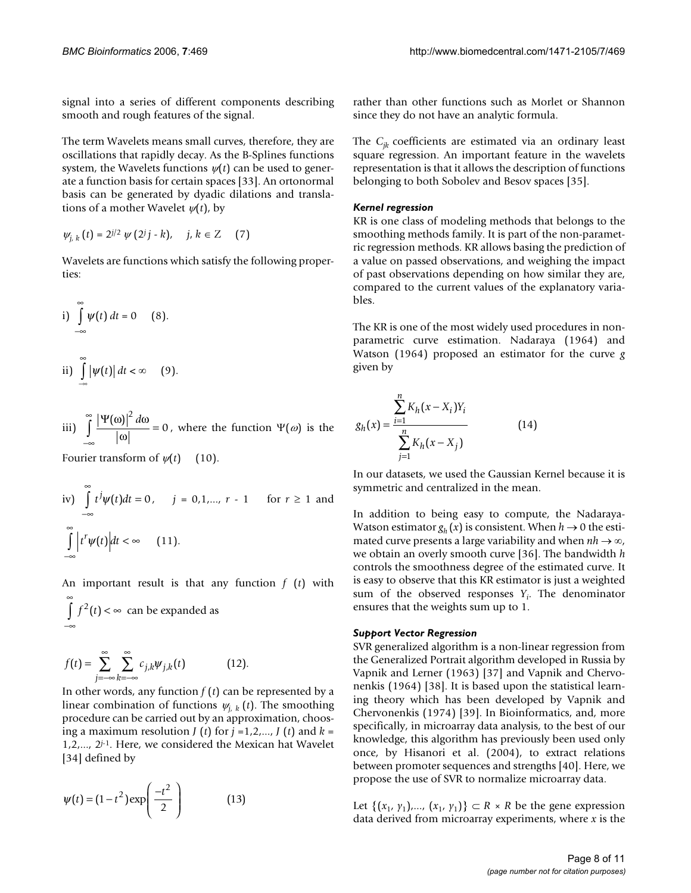signal into a series of different components describing smooth and rough features of the signal.

The term Wavelets means small curves, therefore, they are oscillations that rapidly decay. As the B-Splines functions system, the Wavelets functions  $\psi(t)$  can be used to generate a function basis for certain spaces [33]. An ortonormal basis can be generated by dyadic dilations and translations of a mother Wavelet ψ(*t*), by

$$
\psi_{j, k}(t) = 2^{j/2} \psi(2^j j - k), \quad j, k \in \mathbb{Z} \quad (7)
$$

Wavelets are functions which satisfy the following properties:

i) 
$$
\int_{-\infty}^{\infty} \psi(t) dt = 0
$$
 (8).  
ii) 
$$
\int_{-\infty}^{\infty} |\psi(t)| dt < \infty
$$
 (9).

iii) 
$$
\int_{-\infty}^{\infty} \frac{|\Psi(\omega)|^2 d\omega}{|\omega|} = 0
$$
, where the function  $\Psi(\omega)$  is the

Fourier transform of  $\psi(t)$  (10).

iv) 
$$
\int_{-\infty}^{\infty} t^j \psi(t) dt = 0, \quad j = 0, 1, ..., r - 1 \quad \text{for } r \ge 1 \text{ and}
$$

$$
\int_{-\infty}^{\infty} \left| t^r \psi(t) \right| dt < \infty \quad (11).
$$

An important result is that any function *f* (*t*) with  $\int_{0}^{\infty} f^{2}(t) < \infty$  can be expanded as −∞ ∫

$$
f(t) = \sum_{j=-\infty}^{\infty} \sum_{k=-\infty}^{\infty} c_{j,k} \psi_{j,k}(t)
$$
 (12).

In other words, any function  $f(t)$  can be represented by a linear combination of functions  $\psi_{i,k}(t)$ . The smoothing procedure can be carried out by an approximation, choosing a maximum resolution *J* (*t*) for  $j = 1, 2, ..., J$  (*t*) and  $k =$ 1,2,..., 2*<sup>j</sup>*-1. Here, we considered the Mexican hat Wavelet [34] defined by

$$
\psi(t) = (1 - t^2) \exp\left(\frac{-t^2}{2}\right) \tag{13}
$$

rather than other functions such as Morlet or Shannon since they do not have an analytic formula.

The C<sub>ik</sub> coefficients are estimated via an ordinary least square regression. An important feature in the wavelets representation is that it allows the description of functions belonging to both Sobolev and Besov spaces [35].

#### *Kernel regression*

KR is one class of modeling methods that belongs to the smoothing methods family. It is part of the non-parametric regression methods. KR allows basing the prediction of a value on passed observations, and weighing the impact of past observations depending on how similar they are, compared to the current values of the explanatory variables.

The KR is one of the most widely used procedures in nonparametric curve estimation. Nadaraya (1964) and Watson (1964) proposed an estimator for the curve *g* given by

$$
g_h(x) = \frac{\sum_{i=1}^{n} K_h(x - X_i)Y_i}{\sum_{j=1}^{n} K_h(x - X_j)}
$$
(14)

In our datasets, we used the Gaussian Kernel because it is symmetric and centralized in the mean.

In addition to being easy to compute, the Nadaraya-Watson estimator  $g_h(x)$  is consistent. When  $h \to 0$  the estimated curve presents a large variability and when  $nh \rightarrow \infty$ , we obtain an overly smooth curve [36]. The bandwidth *h* controls the smoothness degree of the estimated curve. It is easy to observe that this KR estimator is just a weighted sum of the observed responses *Yi* . The denominator ensures that the weights sum up to 1.

#### *Support Vector Regression*

SVR generalized algorithm is a non-linear regression from the Generalized Portrait algorithm developed in Russia by Vapnik and Lerner (1963) [37] and Vapnik and Chervonenkis (1964) [38]. It is based upon the statistical learning theory which has been developed by Vapnik and Chervonenkis (1974) [39]. In Bioinformatics, and, more specifically, in microarray data analysis, to the best of our knowledge, this algorithm has previously been used only once, by Hisanori et al. (2004), to extract relations between promoter sequences and strengths [40]. Here, we propose the use of SVR to normalize microarray data.

Let  $\{(x_1, y_1),..., (x_1, y_1)\}\subset R \times R$  be the gene expression data derived from microarray experiments, where *x* is the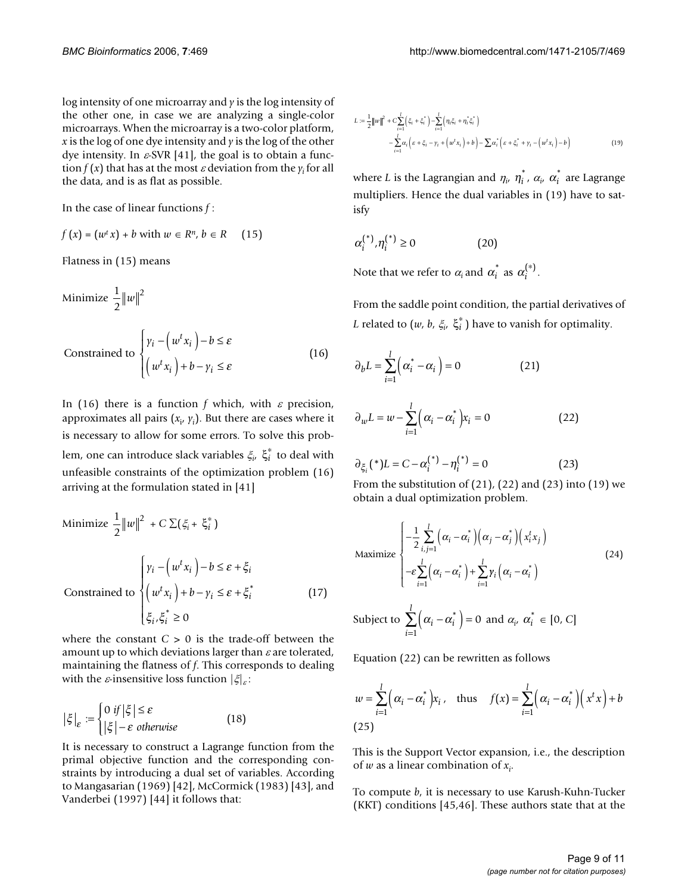log intensity of one microarray and *y* is the log intensity of the other one, in case we are analyzing a single-color microarrays. When the microarray is a two-color platform, *x* is the log of one dye intensity and *y* is the log of the other dye intensity. In  $\varepsilon$ -SVR [41], the goal is to obtain a function  $f(x)$  that has at the most  $\varepsilon$  deviation from the  $y_i$  for all the data, and is as flat as possible.

In the case of linear functions *f* :

$$
f(x) = (w^t x) + b \text{ with } w \in R^n, b \in R \quad (15)
$$

Flatness in (15) means

Minimize  $\frac{1}{2}$ 2  $\|w\|^2$ 

$$
\text{Constrained to} \begin{cases} \gamma_i - \left(w^t x_i\right) - b \le \varepsilon \\ \left(w^t x_i\right) + b - \gamma_i \le \varepsilon \end{cases} \tag{16}
$$

In (16) there is a function *f* which, with  $\varepsilon$  precision, approximates all pairs  $(x_i, y_i)$ . But there are cases where it is necessary to allow for some errors. To solve this problem, one can introduce slack variables  $\xi_i$ ,  $\xi_i^*$  to deal with unfeasible constraints of the optimization problem (16) arriving at the formulation stated in [41]

Minimize 
$$
\frac{1}{2} ||w||^2 + C \sum (\xi_i + \xi_i^*)
$$
  
  

$$
\begin{cases}\n\gamma_i - (w^t x_i) - b \le \varepsilon + \xi_i \\
(w^t x_i) + b - \gamma_i \le \varepsilon + \xi_i^* \\
\xi_i, \xi_i^* \ge 0\n\end{cases}
$$
\n(17)

where the constant  $C > 0$  is the trade-off between the amount up to which deviations larger than  $\varepsilon$  are tolerated, maintaining the flatness of *f*. This corresponds to dealing with the *ε*-insensitive loss function  $|\xi|_{\varepsilon}$ :

$$
\left|\xi\right|_{\varepsilon} := \begin{cases} 0 \text{ if } \left|\xi\right| \leq \varepsilon \\ \left|\xi\right| - \varepsilon \text{ otherwise} \end{cases} \tag{18}
$$

It is necessary to construct a Lagrange function from the primal objective function and the corresponding constraints by introducing a dual set of variables. According to Mangasarian (1969) [42], McCormick (1983) [43], and Vanderbei (1997) [44] it follows that:

$$
L := \frac{1}{2} ||w||^2 + C \sum_{i=1}^{I} \left( \xi_i + \xi_i^* \right) - \sum_{i=1}^{I} \left( \eta_i \xi_i + \eta_i^* \xi_i^* \right)
$$
  
- 
$$
\sum_{i=1}^{I} \alpha_i \left( \varepsilon + \xi_i - \gamma_i + \left( w^t x_i \right) + b \right) - \sum \alpha_i^* \left( \varepsilon + \xi_i^* + \gamma_i - \left( w^t x_i \right) - b \right)
$$
(19)

where *L* is the Lagrangian and  $\eta_i$ ,  $\eta_i^*$ ,  $\alpha_i$ ,  $\alpha_i^*$  are Lagrange multipliers. Hence the dual variables in (19) have to satisfy

$$
\alpha_i^{(*)}, \eta_i^{(*)} \ge 0 \tag{20}
$$

Note that we refer to  $\alpha_i$  and  $\alpha_i^*$  as  $\alpha_i^{(*)}$ .

From the saddle point condition, the partial derivatives of *L* related to  $(w, b, \xi_i, \xi_i^*)$  have to vanish for optimality.

$$
\partial_b L = \sum_{i=1}^l \left( \alpha_i^* - \alpha_i \right) = 0 \tag{21}
$$

$$
\partial_w L = w - \sum_{i=1}^l \left( \alpha_i - \alpha_i^* \right) x_i = 0 \tag{22}
$$

$$
\partial_{\xi_i} ({}^*) L = C - \alpha_i^{(*)} - \eta_i^{(*)} = 0 \tag{23}
$$

From the substitution of  $(21)$ ,  $(22)$  and  $(23)$  into  $(19)$  we obtain a dual optimization problem.

$$
\text{Maximize} \begin{cases} -\frac{1}{2} \sum_{i,j=1}^{l} \left( \alpha_i - \alpha_i^* \right) \left( \alpha_j - \alpha_j^* \right) \left( x_i^t x_j \right) \\ -\varepsilon \sum_{i=1}^{l} \left( \alpha_i - \alpha_i^* \right) + \sum_{i=1}^{l} \gamma_i \left( \alpha_i - \alpha_i^* \right) \end{cases} \tag{24}
$$

Subject to 
$$
\sum_{i=1}^{l} (\alpha_i - \alpha_i^*) = 0 \text{ and } \alpha_i \alpha_i^* \in [0, C]
$$

Equation (22) can be rewritten as follows

$$
w = \sum_{i=1}^{l} (\alpha_i - \alpha_i^*) x_i, \text{ thus } f(x) = \sum_{i=1}^{l} (\alpha_i - \alpha_i^*) (x^t x) + b
$$
  
(25)

This is the Support Vector expansion, i.e., the description of *w* as a linear combination of *xi* .

To compute *b*, it is necessary to use Karush-Kuhn-Tucker (KKT) conditions [45,46]. These authors state that at the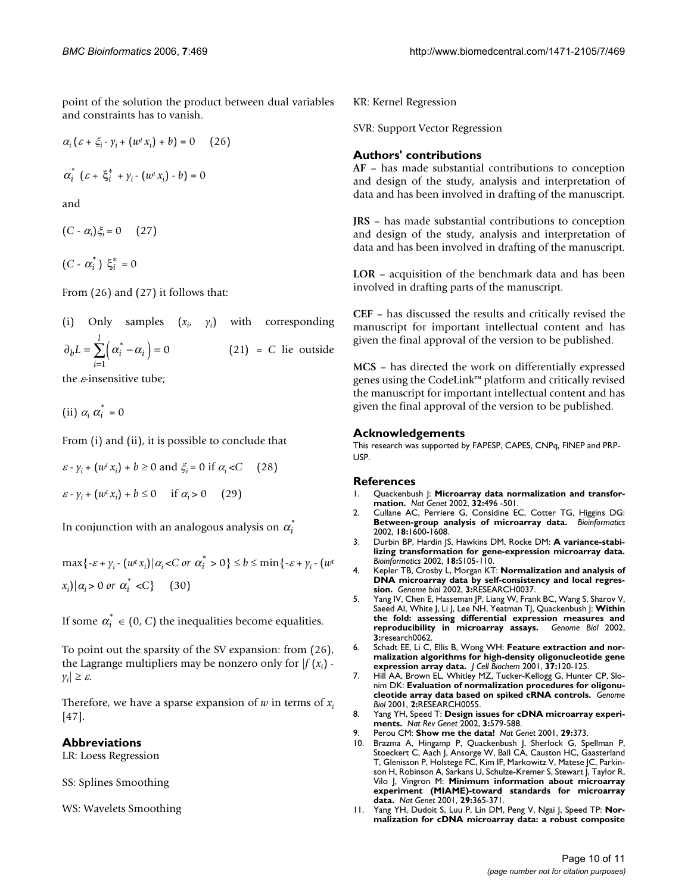point of the solution the product between dual variables and constraints has to vanish.

$$
\alpha_i \left( \varepsilon + \xi_i \cdot \gamma_i + \left( w^t x_i \right) + b \right) = 0 \qquad \text{(26)}
$$

$$
\alpha_i^*\,\left(\varepsilon +\, \xi_i^* + \gamma_i \cdot \left(w^t\,x_i\right) \cdot b\right) = 0
$$

and

 $(C - \alpha_i) \xi_i = 0$  (27)

 $(C - \alpha_i^*) \xi_i^* = 0$ 

From (26) and (27) it follows that:

(i) Only samples  $(x_i, y_i)$  with corresponding  $(21) = C$  lie outside  $\partial_b L = \sum \big(\alpha_i - \alpha_i\big) =$  $_{b}L=\sum_{i=1}^{\infty}\left(\alpha_{i}^{*}-\alpha_{i}\right)$ *i*  $L = \sum_{i=1}^{l} (\alpha_i^* - \alpha_i) = 0$  (21) 1

the  $\varepsilon$ -insensitive tube;

(ii)  $\alpha_i \alpha_i^* = 0$ 

From (i) and (ii), it is possible to conclude that

 $\varepsilon$  -  $\gamma_i$  + ( $w^t x_i$ ) +  $b \ge 0$  and  $\xi_i = 0$  if  $\alpha_i < C$  (28)

 $\varepsilon$  -  $\gamma_i$  + ( $w^t x_i$ ) +  $b \le 0$  if  $\alpha_i > 0$  (29)

In conjunction with an analogous analysis on  $\alpha_i^*$ 

 $\max\{-\varepsilon + \gamma_i - \left(w^t x_i\right) | \alpha_i < C \text{ or } \alpha_i^* > 0\} \le b \le \min\{-\varepsilon + \gamma_i - \left(w^t x_i\right)\}$  $(x_i)|\alpha_i > 0 \text{ or } \alpha_i^* < C\}$  (30)

If some  $\alpha_i^* \in (0, C)$  the inequalities become equalities.

To point out the sparsity of the SV expansion: from (26), the Lagrange multipliers may be nonzero only for  $|f(x_i)|$   $y_i$   $\geq \varepsilon$ .

Therefore, we have a sparse expansion of  $w$  in terms of  $x_i$ [47].

### **Abbreviations**

LR: Loess Regression

SS: Splines Smoothing

WS: Wavelets Smoothing

KR: Kernel Regression

SVR: Support Vector Regression

# **Authors' contributions**

**AF** – has made substantial contributions to conception and design of the study, analysis and interpretation of data and has been involved in drafting of the manuscript.

**JRS** – has made substantial contributions to conception and design of the study, analysis and interpretation of data and has been involved in drafting of the manuscript.

**LOR** – acquisition of the benchmark data and has been involved in drafting parts of the manuscript.

**CEF** – has discussed the results and critically revised the manuscript for important intellectual content and has given the final approval of the version to be published.

**MCS** – has directed the work on differentially expressed genes using the CodeLink™ platform and critically revised the manuscript for important intellectual content and has given the final approval of the version to be published.

# **Acknowledgements**

This research was supported by FAPESP, CAPES, CNPq, FINEP and PRP-USP.

### **References**

- 1. Quackenbush J: **[Microarray data normalization and transfor](http://www.ncbi.nlm.nih.gov/entrez/query.fcgi?cmd=Retrieve&db=PubMed&dopt=Abstract&list_uids=12454644)[mation.](http://www.ncbi.nlm.nih.gov/entrez/query.fcgi?cmd=Retrieve&db=PubMed&dopt=Abstract&list_uids=12454644)** *Nat Genet* 2002, **32:**496 -501.
- 2. Cullane AC, Perriere G, Considine EC, Cotter TG, Higgins DG: **[Between-group analysis of microarray data.](http://www.ncbi.nlm.nih.gov/entrez/query.fcgi?cmd=Retrieve&db=PubMed&dopt=Abstract&list_uids=12490444)** *Bioinformatics* 2002, **18:**1600-1608.
- 3. Durbin BP, Hardin JS, Hawkins DM, Rocke DM: **[A variance-stabi](http://www.ncbi.nlm.nih.gov/entrez/query.fcgi?cmd=Retrieve&db=PubMed&dopt=Abstract&list_uids=12169537)[lizing transformation for gene-expression microarray data.](http://www.ncbi.nlm.nih.gov/entrez/query.fcgi?cmd=Retrieve&db=PubMed&dopt=Abstract&list_uids=12169537)** *Bioinformatics* 2002, **18:**S105-110.
- 4. Kepler TB, Crosby L, Morgan KT: **[Normalization and analysis of](http://www.ncbi.nlm.nih.gov/entrez/query.fcgi?cmd=Retrieve&db=PubMed&dopt=Abstract&list_uids=12184811) [DNA microarray data by self-consistency and local regres](http://www.ncbi.nlm.nih.gov/entrez/query.fcgi?cmd=Retrieve&db=PubMed&dopt=Abstract&list_uids=12184811)[sion.](http://www.ncbi.nlm.nih.gov/entrez/query.fcgi?cmd=Retrieve&db=PubMed&dopt=Abstract&list_uids=12184811)** *Genome biol* 2002, **3:**RESEARCH0037.
- 5. Yang IV, Chen E, Hasseman JP, Liang W, Frank BC, Wang S, Sharov V, Saeed AI, White J, Li J, Lee NH, Yeatman TJ, Quackenbush J: **[Within](http://www.ncbi.nlm.nih.gov/entrez/query.fcgi?cmd=Retrieve&db=PubMed&dopt=Abstract&list_uids=12429061) [the fold: assessing differential expression measures and](http://www.ncbi.nlm.nih.gov/entrez/query.fcgi?cmd=Retrieve&db=PubMed&dopt=Abstract&list_uids=12429061)** [reproducibility in microarray assays.](http://www.ncbi.nlm.nih.gov/entrez/query.fcgi?cmd=Retrieve&db=PubMed&dopt=Abstract&list_uids=12429061) **3:**research0062.
- 6. Schadt EE, Li C, Ellis B, Wong WH: **Feature extraction and normalization algorithms for high-density oligonucleotide gene expression array data.** *J Cell Biochem* 2001, **37:**120-125.
- 7. Hill AA, Brown EL, Whitley MZ, Tucker-Kellogg G, Hunter CP, Slonim DK: **[Evaluation of normalization procedures for oligonu](http://www.ncbi.nlm.nih.gov/entrez/query.fcgi?cmd=Retrieve&db=PubMed&dopt=Abstract&list_uids=11790258)[cleotide array data based on spiked cRNA controls.](http://www.ncbi.nlm.nih.gov/entrez/query.fcgi?cmd=Retrieve&db=PubMed&dopt=Abstract&list_uids=11790258)** *Genome Biol* 2001, **2:**RESEARCH0055.
- 8. Yang YH, Speed T: **[Design issues for cDNA microarray experi](http://www.ncbi.nlm.nih.gov/entrez/query.fcgi?cmd=Retrieve&db=PubMed&dopt=Abstract&list_uids=12154381)[ments.](http://www.ncbi.nlm.nih.gov/entrez/query.fcgi?cmd=Retrieve&db=PubMed&dopt=Abstract&list_uids=12154381)** *Nat Rev Genet* 2002, **3:**579-588.
- 9. Perou CM: **[Show me the data!](http://www.ncbi.nlm.nih.gov/entrez/query.fcgi?cmd=Retrieve&db=PubMed&dopt=Abstract&list_uids=11726921)** *Nat Genet* 2001, **29:**373.
- 10. Brazma A, Hingamp P, Quackenbush J, Sherlock G, Spellman P, Stoeckert C, Aach J, Ansorge W, Ball CA, Causton HC, Gaasterland T, Glenisson P, Holstege FC, Kim IF, Markowitz V, Matese JC, Parkinson H, Robinson A, Sarkans U, Schulze-Kremer S, Stewart J, Taylor R, Vilo J, Vingron M: **[Minimum information about microarray](http://www.ncbi.nlm.nih.gov/entrez/query.fcgi?cmd=Retrieve&db=PubMed&dopt=Abstract&list_uids=11726920) [experiment \(MIAME\)-toward standards for microarray](http://www.ncbi.nlm.nih.gov/entrez/query.fcgi?cmd=Retrieve&db=PubMed&dopt=Abstract&list_uids=11726920) [data.](http://www.ncbi.nlm.nih.gov/entrez/query.fcgi?cmd=Retrieve&db=PubMed&dopt=Abstract&list_uids=11726920)** *Nat Genet* 2001, **29:**365-371.
- 11. Yang YH, Dudoit S, Luu P, Lin DM, Peng V, Ngai J, Speed TP: **[Nor](http://www.ncbi.nlm.nih.gov/entrez/query.fcgi?cmd=Retrieve&db=PubMed&dopt=Abstract&list_uids=11842121)[malization for cDNA microarray data: a robust composite](http://www.ncbi.nlm.nih.gov/entrez/query.fcgi?cmd=Retrieve&db=PubMed&dopt=Abstract&list_uids=11842121)**